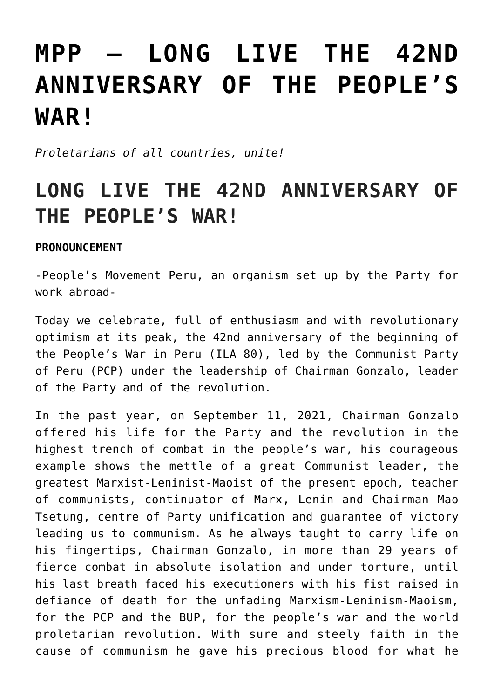## **[MPP – LONG LIVE THE 42ND](https://ci-ic.org/blog/2022/05/17/mpp-long-live-the-42nd-anniversary-of-the-peoples-war/) [ANNIVERSARY OF THE PEOPLE'S](https://ci-ic.org/blog/2022/05/17/mpp-long-live-the-42nd-anniversary-of-the-peoples-war/) [WAR!](https://ci-ic.org/blog/2022/05/17/mpp-long-live-the-42nd-anniversary-of-the-peoples-war/)**

*Proletarians of all countries, unite!*

## **LONG LIVE THE 42ND ANNIVERSARY OF THE PEOPLE'S WAR!**

## **PRONOUNCEMENT**

-People's Movement Peru, an organism set up by the Party for work abroad-

Today we celebrate, full of enthusiasm and with revolutionary optimism at its peak, the 42nd anniversary of the beginning of the People's War in Peru (ILA 80), led by the Communist Party of Peru (PCP) under the leadership of Chairman Gonzalo, leader of the Party and of the revolution.

In the past year, on September 11, 2021, Chairman Gonzalo offered his life for the Party and the revolution in the highest trench of combat in the people's war, his courageous example shows the mettle of a great Communist leader, the greatest Marxist-Leninist-Maoist of the present epoch, teacher of communists, continuator of Marx, Lenin and Chairman Mao Tsetung, centre of Party unification and guarantee of victory leading us to communism. As he always taught to carry life on his fingertips, Chairman Gonzalo, in more than 29 years of fierce combat in absolute isolation and under torture, until his last breath faced his executioners with his fist raised in defiance of death for the unfading Marxism-Leninism-Maoism, for the PCP and the BUP, for the people's war and the world proletarian revolution. With sure and steely faith in the cause of communism he gave his precious blood for what he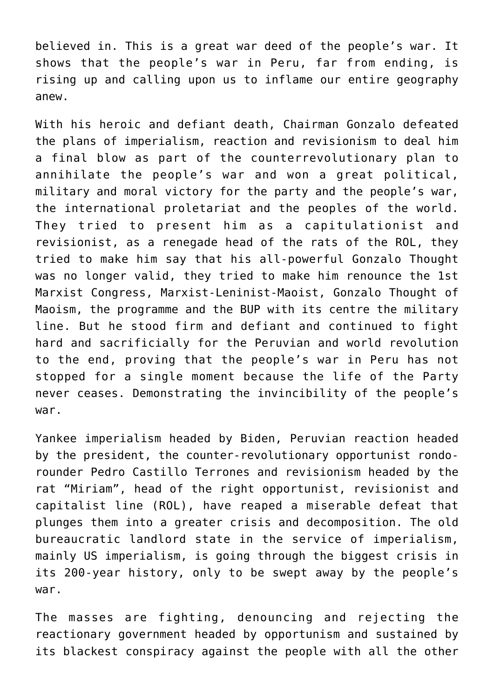believed in. This is a great war deed of the people's war. It shows that the people's war in Peru, far from ending, is rising up and calling upon us to inflame our entire geography anew.

With his heroic and defiant death, Chairman Gonzalo defeated the plans of imperialism, reaction and revisionism to deal him a final blow as part of the counterrevolutionary plan to annihilate the people's war and won a great political, military and moral victory for the party and the people's war, the international proletariat and the peoples of the world. They tried to present him as a capitulationist and revisionist, as a renegade head of the rats of the ROL, they tried to make him say that his all-powerful Gonzalo Thought was no longer valid, they tried to make him renounce the 1st Marxist Congress, Marxist-Leninist-Maoist, Gonzalo Thought of Maoism, the programme and the BUP with its centre the military line. But he stood firm and defiant and continued to fight hard and sacrificially for the Peruvian and world revolution to the end, proving that the people's war in Peru has not stopped for a single moment because the life of the Party never ceases. Demonstrating the invincibility of the people's war.

Yankee imperialism headed by Biden, Peruvian reaction headed by the president, the counter-revolutionary opportunist rondorounder Pedro Castillo Terrones and revisionism headed by the rat "Miriam", head of the right opportunist, revisionist and capitalist line (ROL), have reaped a miserable defeat that plunges them into a greater crisis and decomposition. The old bureaucratic landlord state in the service of imperialism, mainly US imperialism, is going through the biggest crisis in its 200-year history, only to be swept away by the people's war.

The masses are fighting, denouncing and rejecting the reactionary government headed by opportunism and sustained by its blackest conspiracy against the people with all the other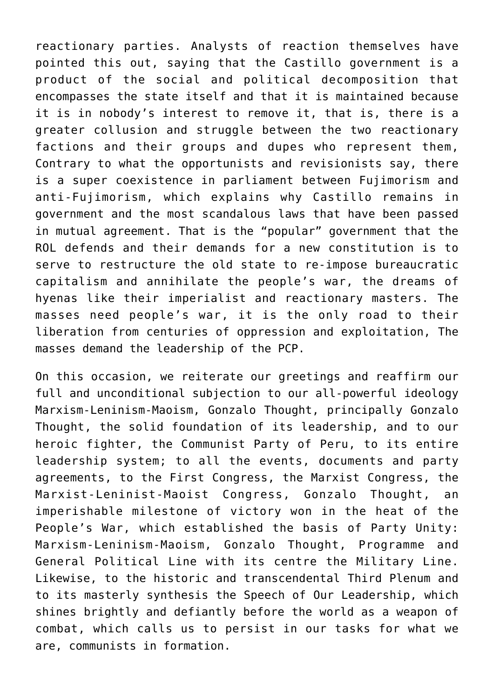reactionary parties. Analysts of reaction themselves have pointed this out, saying that the Castillo government is a product of the social and political decomposition that encompasses the state itself and that it is maintained because it is in nobody's interest to remove it, that is, there is a greater collusion and struggle between the two reactionary factions and their groups and dupes who represent them, Contrary to what the opportunists and revisionists say, there is a super coexistence in parliament between Fujimorism and anti-Fujimorism, which explains why Castillo remains in government and the most scandalous laws that have been passed in mutual agreement. That is the "popular" government that the ROL defends and their demands for a new constitution is to serve to restructure the old state to re-impose bureaucratic capitalism and annihilate the people's war, the dreams of hyenas like their imperialist and reactionary masters. The masses need people's war, it is the only road to their liberation from centuries of oppression and exploitation, The masses demand the leadership of the PCP.

On this occasion, we reiterate our greetings and reaffirm our full and unconditional subjection to our all-powerful ideology Marxism-Leninism-Maoism, Gonzalo Thought, principally Gonzalo Thought, the solid foundation of its leadership, and to our heroic fighter, the Communist Party of Peru, to its entire leadership system; to all the events, documents and party agreements, to the First Congress, the Marxist Congress, the Marxist-Leninist-Maoist Congress, Gonzalo Thought, an imperishable milestone of victory won in the heat of the People's War, which established the basis of Party Unity: Marxism-Leninism-Maoism, Gonzalo Thought, Programme and General Political Line with its centre the Military Line. Likewise, to the historic and transcendental Third Plenum and to its masterly synthesis the Speech of Our Leadership, which shines brightly and defiantly before the world as a weapon of combat, which calls us to persist in our tasks for what we are, communists in formation.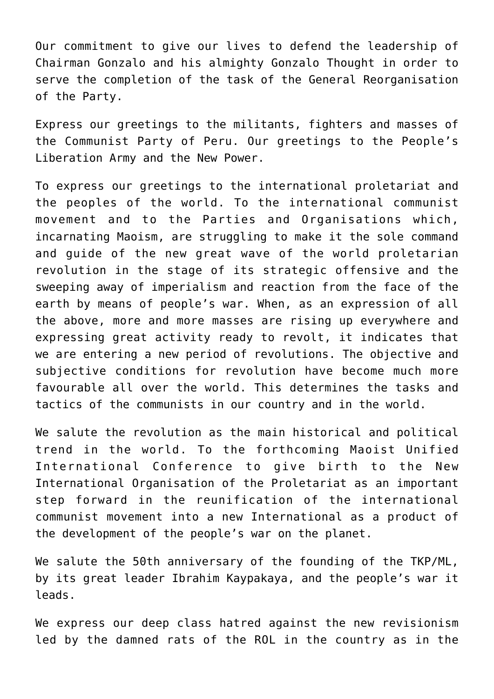Our commitment to give our lives to defend the leadership of Chairman Gonzalo and his almighty Gonzalo Thought in order to serve the completion of the task of the General Reorganisation of the Party.

Express our greetings to the militants, fighters and masses of the Communist Party of Peru. Our greetings to the People's Liberation Army and the New Power.

To express our greetings to the international proletariat and the peoples of the world. To the international communist movement and to the Parties and Organisations which, incarnating Maoism, are struggling to make it the sole command and guide of the new great wave of the world proletarian revolution in the stage of its strategic offensive and the sweeping away of imperialism and reaction from the face of the earth by means of people's war. When, as an expression of all the above, more and more masses are rising up everywhere and expressing great activity ready to revolt, it indicates that we are entering a new period of revolutions. The objective and subjective conditions for revolution have become much more favourable all over the world. This determines the tasks and tactics of the communists in our country and in the world.

We salute the revolution as the main historical and political trend in the world. To the forthcoming Maoist Unified International Conference to give birth to the New International Organisation of the Proletariat as an important step forward in the reunification of the international communist movement into a new International as a product of the development of the people's war on the planet.

We salute the 50th anniversary of the founding of the TKP/ML, by its great leader Ibrahim Kaypakaya, and the people's war it leads.

We express our deep class hatred against the new revisionism led by the damned rats of the ROL in the country as in the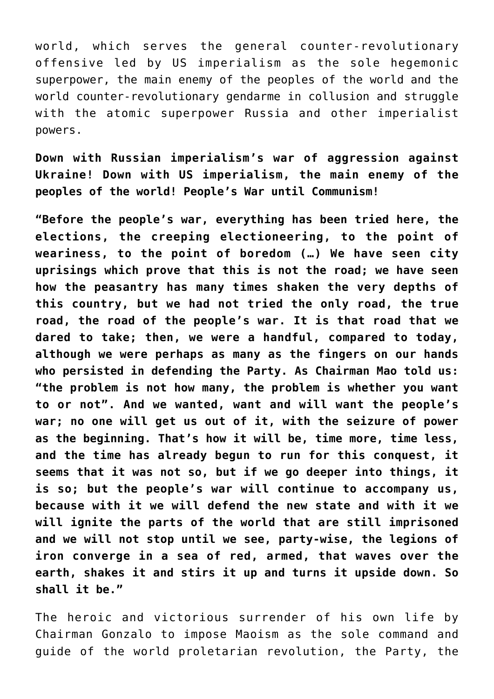world, which serves the general counter-revolutionary offensive led by US imperialism as the sole hegemonic superpower, the main enemy of the peoples of the world and the world counter-revolutionary gendarme in collusion and struggle with the atomic superpower Russia and other imperialist powers.

**Down with Russian imperialism's war of aggression against Ukraine! Down with US imperialism, the main enemy of the peoples of the world! People's War until Communism!**

**"Before the people's war, everything has been tried here, the elections, the creeping electioneering, to the point of weariness, to the point of boredom (…) We have seen city uprisings which prove that this is not the road; we have seen how the peasantry has many times shaken the very depths of this country, but we had not tried the only road, the true road, the road of the people's war. It is that road that we dared to take; then, we were a handful, compared to today, although we were perhaps as many as the fingers on our hands who persisted in defending the Party. As Chairman Mao told us: "the problem is not how many, the problem is whether you want to or not". And we wanted, want and will want the people's war; no one will get us out of it, with the seizure of power as the beginning. That's how it will be, time more, time less, and the time has already begun to run for this conquest, it seems that it was not so, but if we go deeper into things, it is so; but the people's war will continue to accompany us, because with it we will defend the new state and with it we will ignite the parts of the world that are still imprisoned and we will not stop until we see, party-wise, the legions of iron converge in a sea of red, armed, that waves over the earth, shakes it and stirs it up and turns it upside down. So shall it be."**

The heroic and victorious surrender of his own life by Chairman Gonzalo to impose Maoism as the sole command and guide of the world proletarian revolution, the Party, the